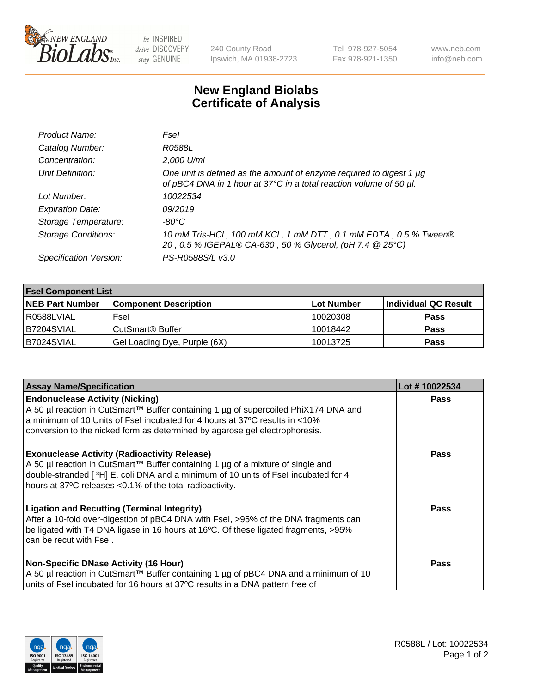

 $be$  INSPIRED drive DISCOVERY stay GENUINE

240 County Road Ipswich, MA 01938-2723 Tel 978-927-5054 Fax 978-921-1350 www.neb.com info@neb.com

## **New England Biolabs Certificate of Analysis**

| Product Name:              | Fsel                                                                                                                                           |
|----------------------------|------------------------------------------------------------------------------------------------------------------------------------------------|
| Catalog Number:            | R0588L                                                                                                                                         |
| Concentration:             | 2,000 U/ml                                                                                                                                     |
| Unit Definition:           | One unit is defined as the amount of enzyme required to digest 1 $\mu$ g<br>of pBC4 DNA in 1 hour at 37°C in a total reaction volume of 50 µl. |
| Lot Number:                | 10022534                                                                                                                                       |
| <b>Expiration Date:</b>    | 09/2019                                                                                                                                        |
| Storage Temperature:       | $-80^{\circ}$ C                                                                                                                                |
| <b>Storage Conditions:</b> | 10 mM Tris-HCl, 100 mM KCl, 1 mM DTT, 0.1 mM EDTA, 0.5 % Tween®<br>20, 0.5 % IGEPAL® CA-630, 50 % Glycerol, (pH 7.4 @ 25°C)                    |
| Specification Version:     | PS-R0588S/L v3.0                                                                                                                               |

| <b>Fsel Component List</b> |                              |            |                      |  |  |
|----------------------------|------------------------------|------------|----------------------|--|--|
| <b>NEB Part Number</b>     | <b>Component Description</b> | Lot Number | Individual QC Result |  |  |
| R0588LVIAL                 | Fsel                         | 10020308   | <b>Pass</b>          |  |  |
| B7204SVIAL                 | CutSmart <sup>®</sup> Buffer | 10018442   | <b>Pass</b>          |  |  |
| B7024SVIAL                 | Gel Loading Dye, Purple (6X) | 10013725   | <b>Pass</b>          |  |  |

| <b>Assay Name/Specification</b>                                                                                                                                                                                                                                                                                                                                         | Lot #10022534 |
|-------------------------------------------------------------------------------------------------------------------------------------------------------------------------------------------------------------------------------------------------------------------------------------------------------------------------------------------------------------------------|---------------|
| <b>Endonuclease Activity (Nicking)</b><br>A 50 µl reaction in CutSmart™ Buffer containing 1 µg of supercoiled PhiX174 DNA and<br>a minimum of 10 Units of Fsel incubated for 4 hours at 37°C results in <10%                                                                                                                                                            | <b>Pass</b>   |
| conversion to the nicked form as determined by agarose gel electrophoresis.<br><b>Exonuclease Activity (Radioactivity Release)</b><br>A 50 µl reaction in CutSmart™ Buffer containing 1 µg of a mixture of single and<br>double-stranded [3H] E. coli DNA and a minimum of 10 units of Fsel incubated for 4<br>hours at 37°C releases <0.1% of the total radioactivity. | Pass          |
| <b>Ligation and Recutting (Terminal Integrity)</b><br>After a 10-fold over-digestion of pBC4 DNA with Fsel, >95% of the DNA fragments can<br>be ligated with T4 DNA ligase in 16 hours at 16°C. Of these ligated fragments, >95%<br>l can be recut with Fsel.                                                                                                           | <b>Pass</b>   |
| Non-Specific DNase Activity (16 Hour)<br>A 50 µl reaction in CutSmart™ Buffer containing 1 µg of pBC4 DNA and a minimum of 10<br>units of Fsel incubated for 16 hours at 37°C results in a DNA pattern free of                                                                                                                                                          | Pass          |